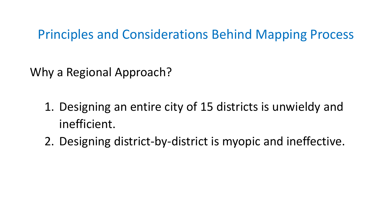Why a Regional Approach?

- 1. Designing an entire city of 15 districts is unwieldy and inefficient.
- 2. Designing district-by-district is myopic and ineffective.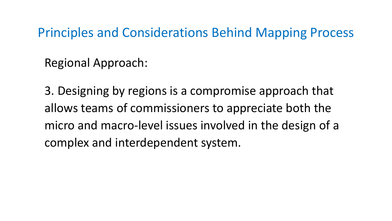Regional Approach:

3. Designing by regions is a compromise approach that allows teams of commissioners to appreciate both the micro and macro-level issues involved in the design of a complex and interdependent system.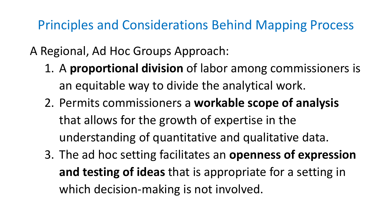- A Regional, Ad Hoc Groups Approach:
	- 1. A **proportional division** of labor among commissioners is an equitable way to divide the analytical work.
	- 2. Permits commissioners a **workable scope of analysis**  that allows for the growth of expertise in the understanding of quantitative and qualitative data.
	- 3. The ad hoc setting facilitates an **openness of expression and testing of ideas** that is appropriate for a setting in which decision-making is not involved.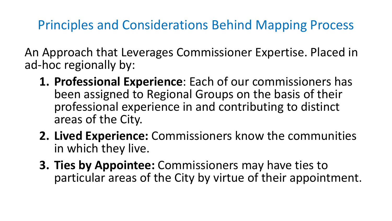An Approach that Leverages Commissioner Expertise. Placed in ad-hoc regionally by:

- **1. Professional Experience**: Each of our commissioners has been assigned to Regional Groups on the basis of their professional experience in and contributing to distinct areas of the City.
- **2. Lived Experience:** Commissioners know the communities in which they live.
- **3. Ties by Appointee:** Commissioners may have ties to particular areas of the City by virtue of their appointment.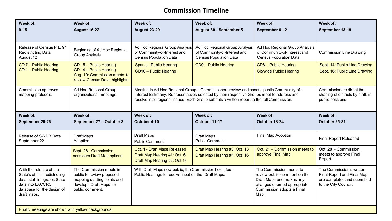### **Commission Timeline**

| Week of:<br>$9 - 15$                                                                                                                                       | Week of:<br><b>August 16-22</b>                                                                                                   | Week of:<br><b>August 23-29</b>                                                                                                                                                                                                                                                      | Week of:<br>August 30 - September 5                                                             | Week of:<br>September 6-12                                                                                                                              | Week of:<br>September 13-19                                                                                   |  |
|------------------------------------------------------------------------------------------------------------------------------------------------------------|-----------------------------------------------------------------------------------------------------------------------------------|--------------------------------------------------------------------------------------------------------------------------------------------------------------------------------------------------------------------------------------------------------------------------------------|-------------------------------------------------------------------------------------------------|---------------------------------------------------------------------------------------------------------------------------------------------------------|---------------------------------------------------------------------------------------------------------------|--|
| Release of Census P.L. 94<br>Redistricting Data<br>August 12                                                                                               | Beginning of Ad Hoc Regional<br><b>Group Analysis</b>                                                                             | Ad Hoc Regional Group Analysis<br>of Community-of-Interest and<br><b>Census Population Data</b>                                                                                                                                                                                      | Ad Hoc Regional Group Analysis<br>of Community-of-Interest and<br><b>Census Population Data</b> | Ad Hoc Regional Group Analysis<br>of Community-of-Interest and<br><b>Census Population Data</b>                                                         | <b>Commission Line Drawing</b>                                                                                |  |
| CD 7 - Public Hearing<br>CD 1 - Public Hearing                                                                                                             | CD 15 - Public Hearing<br>CD 14 - Public Hearing<br>Aug. 19: Commission meets to<br>review Census Data highlights.                | <b>Spanish Public Hearing</b><br>CD10 - Public Hearing                                                                                                                                                                                                                               | CD9 - Public Hearing                                                                            | CD8 - Public Hearing<br><b>Citywide Public Hearing</b>                                                                                                  | Sept. 14: Public Line Drawing<br>Sept. 16: Public Line Drawing                                                |  |
| <b>Commission approves</b><br>mapping protocols.                                                                                                           | Ad Hoc Regional Group<br>organizational meetings.                                                                                 | Meeting in Ad Hoc Regional Groups, Commissioners review and assess public Community-of-<br>Interest testimony. Representatives selected by their respective Groups meet to address and<br>resolve inter-regional issues. Each Group submits a written report to the full Commission. |                                                                                                 |                                                                                                                                                         | Commissioners direct the<br>shaping of districts by staff, in<br>public sessions.                             |  |
| Week of:<br>September 20-26                                                                                                                                | Week of:<br>September 27 - October 3                                                                                              | Week of:<br>October 4-10                                                                                                                                                                                                                                                             | Week of:<br>October 11-17                                                                       | Week of:<br>October 18-24                                                                                                                               | Week of:<br>October 25-31                                                                                     |  |
| Release of SWDB Data<br>September 22                                                                                                                       | Draft Maps<br>Adoption                                                                                                            | Draft Maps<br><b>Public Comment</b>                                                                                                                                                                                                                                                  | Draft Maps<br><b>Public Comment</b>                                                             | Final Map Adoption                                                                                                                                      | <b>Final Report Released</b>                                                                                  |  |
|                                                                                                                                                            | Sept. 28 - Commission<br>considers Draft Map options                                                                              | Oct. 4 - Draft Maps Released<br>Draft Map Hearing #1: Oct. 6<br>Draft Map Hearing #2: Oct. 9                                                                                                                                                                                         | Draft Map Hearing #3: Oct. 13<br>Draft Map Hearing #4: Oct. 16                                  | Oct. 21 - Commission meets to<br>approve Final Map.                                                                                                     | Oct. 28 - Commission<br>meets to approve Final<br>Report.                                                     |  |
| With the release of the<br>State's official redistricting<br>data, staff integrates State<br>data into LACCRC<br>database for the design of<br>draft maps. | The Commission meets in<br>public to review proposed<br>mapping starting points and<br>develops Draft Maps for<br>public comment. | With Draft Maps now public, the Commission holds four<br>Public Hearings to receive input on the Draft Maps.                                                                                                                                                                         |                                                                                                 | The Commission meets to<br>review public comment on the<br>Draft Maps and makes any<br>changes deemed appropriate.<br>Commission adopts a Final<br>Map. | The Commission's written<br>Final Report and Final Map<br>are completed and submitted<br>to the City Council. |  |
| Public meetings are shown with yellow backgrounds.                                                                                                         |                                                                                                                                   |                                                                                                                                                                                                                                                                                      |                                                                                                 |                                                                                                                                                         |                                                                                                               |  |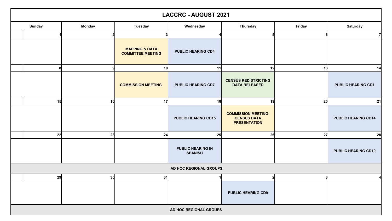|                        | <b>LACCRC - AUGUST 2021</b> |                 |                                                       |                                            |                                                                         |        |                            |
|------------------------|-----------------------------|-----------------|-------------------------------------------------------|--------------------------------------------|-------------------------------------------------------------------------|--------|----------------------------|
|                        | <b>Sunday</b>               | <b>Monday</b>   | <b>Tuesday</b>                                        | Wednesday                                  | <b>Thursday</b>                                                         | Friday | <b>Saturday</b>            |
|                        |                             |                 |                                                       |                                            |                                                                         | 6      |                            |
|                        |                             |                 | <b>MAPPING &amp; DATA</b><br><b>COMMITTEE MEETING</b> | <b>PUBLIC HEARING CD4</b>                  |                                                                         |        |                            |
|                        | я                           |                 | 10                                                    | 11                                         | 12                                                                      | 13     | 14                         |
|                        |                             |                 | <b>COMMISSION MEETING</b>                             | <b>PUBLIC HEARING CD7</b>                  | <b>CENSUS REDISTRICTING</b><br><b>DATA RELEASED</b>                     |        | <b>PUBLIC HEARING CD1</b>  |
|                        | 15                          | 16              | 17                                                    | 18                                         | 19                                                                      | 20     | 21                         |
|                        |                             |                 |                                                       | <b>PUBLIC HEARING CD15</b>                 | <b>COMMISSION MEETING:</b><br><b>CENSUS DATA</b><br><b>PRESENTATION</b> |        | <b>PUBLIC HEARING CD14</b> |
|                        | 22                          | 23              | 24                                                    | 25                                         | 26                                                                      | 27     | 28                         |
|                        |                             |                 |                                                       | <b>PUBLIC HEARING IN</b><br><b>SPANISH</b> |                                                                         |        | <b>PUBLIC HEARING CD10</b> |
| AD HOC REGIONAL GROUPS |                             |                 |                                                       |                                            |                                                                         |        |                            |
|                        | 29                          | 30 <sub>l</sub> | 31                                                    |                                            |                                                                         | 31     |                            |
|                        |                             |                 |                                                       |                                            | <b>PUBLIC HEARING CD9</b>                                               |        |                            |
|                        | AD HOC REGIONAL GROUPS      |                 |                                                       |                                            |                                                                         |        |                            |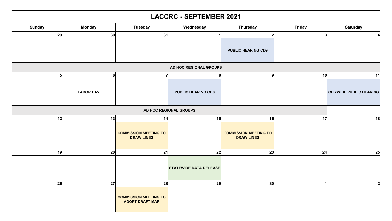| <b>LACCRC - SEPTEMBER 2021</b> |                  |                                                        |                               |                                                   |               |                                |
|--------------------------------|------------------|--------------------------------------------------------|-------------------------------|---------------------------------------------------|---------------|--------------------------------|
| <b>Sunday</b>                  | <b>Monday</b>    | <b>Tuesday</b>                                         | Wednesday                     | <b>Thursday</b>                                   | <b>Friday</b> | <b>Saturday</b>                |
| 29                             | 30               | 31                                                     |                               |                                                   | 3             |                                |
|                                |                  |                                                        |                               | <b>PUBLIC HEARING CD9</b>                         |               |                                |
|                                |                  |                                                        | AD HOC REGIONAL GROUPS        |                                                   |               |                                |
|                                | 6                |                                                        | 8                             |                                                   | 10            | 11                             |
|                                | <b>LABOR DAY</b> |                                                        | <b>PUBLIC HEARING CD8</b>     |                                                   |               | <b>CITYWIDE PUBLIC HEARING</b> |
|                                |                  |                                                        | AD HOC REGIONAL GROUPS        |                                                   |               |                                |
| 12                             | 13               | 14                                                     | 15                            | 16                                                | 17            | 18                             |
|                                |                  | <b>COMMISSION MEETING TO</b><br><b>DRAW LINES</b>      |                               | <b>COMMISSION MEETING TO</b><br><b>DRAW LINES</b> |               |                                |
| 19                             | 20               | 21                                                     | 22                            | 23                                                | 24            | 25                             |
|                                |                  |                                                        | <b>STATEWIDE DATA RELEASE</b> |                                                   |               |                                |
| 26                             | 27               | 28                                                     | 29                            | 30 <sub>l</sub>                                   |               |                                |
|                                |                  | <b>COMMISSION MEETING TO</b><br><b>ADOPT DRAFT MAP</b> |                               |                                                   |               |                                |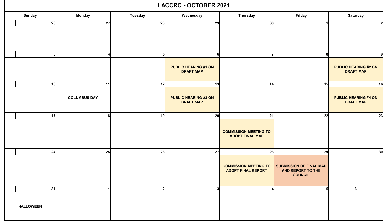#### **LACCRC - OCTOBER 2021**

| <b>Sunday</b>    | <b>Monday</b>          | <b>Tuesday</b> | Wednesday                                       | <b>Thursday</b>                                           | Friday                                                                | <b>Saturday</b>                                 |
|------------------|------------------------|----------------|-------------------------------------------------|-----------------------------------------------------------|-----------------------------------------------------------------------|-------------------------------------------------|
| 26               | 27                     | 28             | 29                                              | 30 <sup>l</sup>                                           |                                                                       |                                                 |
|                  |                        |                |                                                 |                                                           |                                                                       |                                                 |
|                  | $\boldsymbol{\Lambda}$ |                | 6                                               |                                                           |                                                                       |                                                 |
|                  |                        |                | <b>PUBLIC HEARING #1 ON</b><br><b>DRAFT MAP</b> |                                                           |                                                                       | <b>PUBLIC HEARING #2 ON</b><br><b>DRAFT MAP</b> |
| 10 <sub>l</sub>  | 11                     | 12             | 13                                              | 14                                                        | 15                                                                    | 16                                              |
|                  | <b>COLUMBUS DAY</b>    |                | <b>PUBLIC HEARING #3 ON</b><br><b>DRAFT MAP</b> |                                                           |                                                                       | <b>PUBLIC HEARING #4 ON</b><br><b>DRAFT MAP</b> |
| 17               | 18                     | 19             | 20 <sup>l</sup>                                 | 21                                                        | 22                                                                    | 23                                              |
|                  |                        |                |                                                 | <b>COMMISSION MEETING TO</b><br><b>ADOPT FINAL MAP</b>    |                                                                       |                                                 |
| 24               | 25                     | 26             | 27                                              | 28                                                        | 29                                                                    | 30 <sub>l</sub>                                 |
|                  |                        |                |                                                 | <b>COMMISSION MEETING TO</b><br><b>ADOPT FINAL REPORT</b> | <b>SUBMISSION OF FINAL MAP</b><br>AND REPORT TO THE<br><b>COUNCIL</b> |                                                 |
| 31               |                        | 2              | 3 <sup>l</sup>                                  |                                                           | 5                                                                     | $6\phantom{a}$                                  |
| <b>HALLOWEEN</b> |                        |                |                                                 |                                                           |                                                                       |                                                 |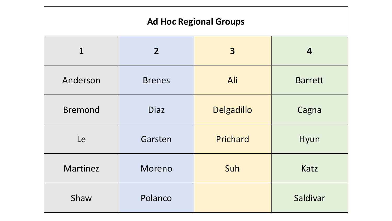### **Ad Hoc Regional Groups**

| $\mathbf 1$    | 2 <sup>1</sup> | $\overline{\mathbf{3}}$ | 4              |
|----------------|----------------|-------------------------|----------------|
| Anderson       | <b>Brenes</b>  | Ali                     | <b>Barrett</b> |
| <b>Bremond</b> | <b>Diaz</b>    | Delgadillo              | Cagna          |
| Le             | Garsten        | Prichard                | Hyun           |
| Martinez       | Moreno         | Suh                     | Katz           |
| Shaw           | Polanco        |                         | Saldivar       |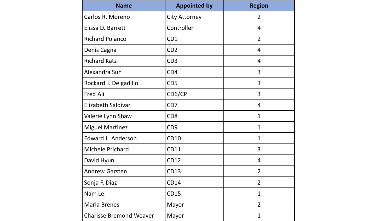| <b>Name</b>                    | <b>Appointed by</b>  | <b>Region</b>  |
|--------------------------------|----------------------|----------------|
| Carlos R. Moreno               | <b>City Attorney</b> | $\overline{2}$ |
| Elissa D. Barrett              | Controller           | $\overline{4}$ |
| <b>Richard Polanco</b>         | CD1                  | $\overline{2}$ |
| Denis Cagna                    | CD <sub>2</sub>      | 4              |
| <b>Richard Katz</b>            | CD <sub>3</sub>      | 4              |
| Alexandra Suh                  | CD <sub>4</sub>      | 3              |
| Rockard J. Delgadillo          | CD <sub>5</sub>      | 3              |
| <b>Fred Ali</b>                | CD6/CP               | 3              |
| Elizabeth Saldivar             | CD <sub>7</sub>      | $\overline{4}$ |
| Valerie Lynn Shaw              | CD <sub>8</sub>      | $\mathbf{1}$   |
| <b>Miguel Martinez</b>         | CD <sub>9</sub>      | $\mathbf{1}$   |
| Edward L. Anderson             | <b>CD10</b>          | 1              |
| Michele Prichard               | <b>CD11</b>          | 3              |
| David Hyun                     | <b>CD12</b>          | 4              |
| <b>Andrew Garsten</b>          | <b>CD13</b>          | $\overline{2}$ |
| Sonja F. Diaz                  | <b>CD14</b>          | $\overline{2}$ |
| Nam Le                         | <b>CD15</b>          | 1              |
| <b>Maria Brenes</b>            | Mayor                | $\overline{2}$ |
| <b>Charisse Bremond Weaver</b> | Mayor                | $\overline{1}$ |